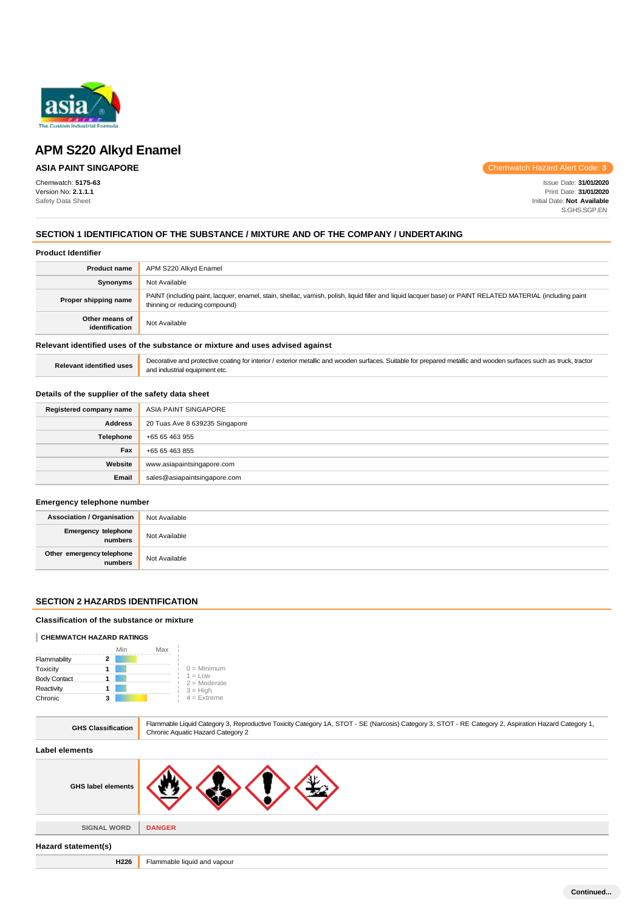

# **ASIA PAINT SINGAPORE**

Chemwatch: **5175-63** Version No: **2.1.1.1** Safety Data Sheet

Chemwatch Hazard Alert Code: **3**

Issue Date: **31/01/2020** Print Date: **31/01/2020** Initial Date: **Not Available** S.GHS.SGP.EN

# **SECTION 1 IDENTIFICATION OF THE SUBSTANCE / MIXTURE AND OF THE COMPANY / UNDERTAKING**

|  | <b>Product Identifier</b> |
|--|---------------------------|
|--|---------------------------|

| <b>Product name</b>                                                           | APM S220 Alkyd Enamel                                                                                                                                                                         |
|-------------------------------------------------------------------------------|-----------------------------------------------------------------------------------------------------------------------------------------------------------------------------------------------|
| Synonyms                                                                      | Not Available                                                                                                                                                                                 |
| Proper shipping name                                                          | PAINT (including paint, lacquer, enamel, stain, shellac, varnish, polish, liquid filler and liquid lacquer base) or PAINT RELATED MATERIAL (including paint<br>thinning or reducing compound) |
| Other means of<br>identification                                              | Not Available                                                                                                                                                                                 |
| Relevant identified uses of the substance or mixture and uses advised against |                                                                                                                                                                                               |

### Relevant identified uses **Decorative and protective coating for interior** / exterior metallic and wooden surfaces. Suitable for prepared metallic and wooden surfaces such as truck, tractor and industrial equipment etc.

# **Details of the supplier of the safety data sheet**

| Registered company name | ASIA PAINT SINGAPORE           |
|-------------------------|--------------------------------|
| <b>Address</b>          | 20 Tuas Ave 8 639235 Singapore |
| Telephone               | +65 65 463 955                 |
| Fax                     | +65 65 463 855                 |
| Website                 | www.asiapaintsingapore.com     |
| Email                   | sales@asiapaintsingapore.com   |

# **Emergency telephone number**

| <b>Association / Organisation</b>    | Not Available |
|--------------------------------------|---------------|
| Emergency telephone<br>numbers       | Not Available |
| Other emergency telephone<br>numbers | Not Available |

# **SECTION 2 HAZARDS IDENTIFICATION**

#### **Classification of the substance or mixture**

#### **CHEMWATCH HAZARD RATINGS**

|                     | Min | Max |                             |
|---------------------|-----|-----|-----------------------------|
| Flammability        |     |     |                             |
| Toxicity            |     |     | $0 =$ Minimum               |
| <b>Body Contact</b> |     |     | $1 = Low$<br>$2 =$ Moderate |
| Reactivity          |     |     | $3 = High$                  |
| Chronic             |     |     | $4$ = Extreme               |

| <b>GHS Classification</b> | Flammable Liquid Category 3, Reproductive Toxicity Category 1A, STOT - SE (Narcosis) Category 3, STOT - RE Category 2, Aspiration Hazard Category 1,<br>Chronic Aquatic Hazard Category 2 |
|---------------------------|-------------------------------------------------------------------------------------------------------------------------------------------------------------------------------------------|
| Label elements            |                                                                                                                                                                                           |
| <b>GHS label elements</b> |                                                                                                                                                                                           |
| <b>SIGNAL WORD</b>        | <b>DANGER</b>                                                                                                                                                                             |
|                           |                                                                                                                                                                                           |
| Hazard statement(s)       |                                                                                                                                                                                           |
| H226                      | Flammable liquid and vapour                                                                                                                                                               |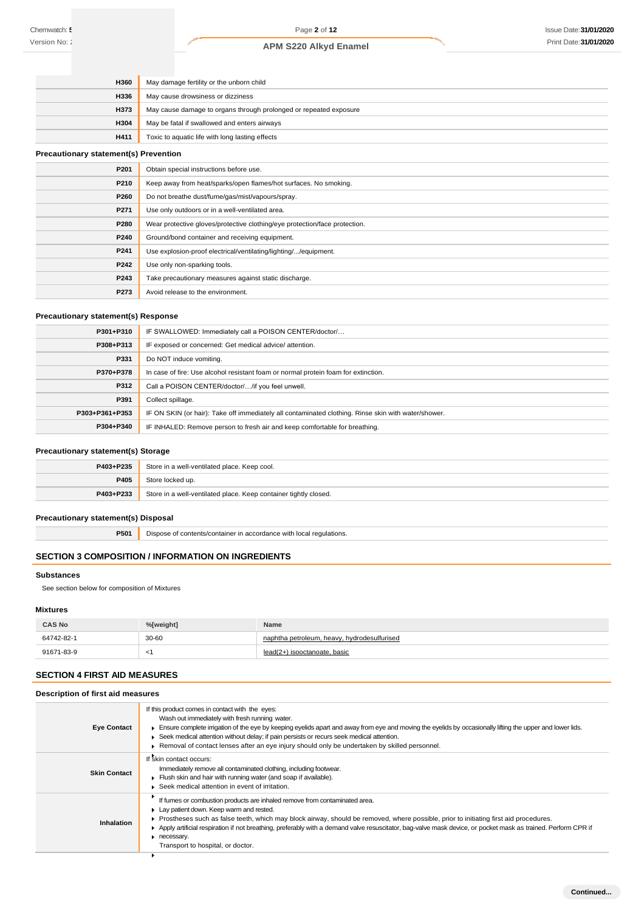| <b>H360</b> | May damage fertility or the unborn child                          |
|-------------|-------------------------------------------------------------------|
| <b>H336</b> | May cause drowsiness or dizziness                                 |
| <b>H373</b> | May cause damage to organs through prolonged or repeated exposure |
| <b>H304</b> | May be fatal if swallowed and enters airways                      |
| H411        | Toxic to aquatic life with long lasting effects                   |

# **Precautionary statement(s) Prevention**

| P201 | Obtain special instructions before use.                                    |
|------|----------------------------------------------------------------------------|
| P210 | Keep away from heat/sparks/open flames/hot surfaces. No smoking.           |
| P260 | Do not breathe dust/fume/gas/mist/vapours/spray.                           |
| P271 | Use only outdoors or in a well-ventilated area.                            |
| P280 | Wear protective gloves/protective clothing/eye protection/face protection. |
| P240 | Ground/bond container and receiving equipment.                             |
| P241 | Use explosion-proof electrical/ventilating/lighting//equipment.            |
| P242 | Use only non-sparking tools.                                               |
| P243 | Take precautionary measures against static discharge.                      |
| P273 | Avoid release to the environment.                                          |

# **Precautionary statement(s) Response**

| P301+P310      | IF SWALLOWED: Immediately call a POISON CENTER/doctor/                                              |
|----------------|-----------------------------------------------------------------------------------------------------|
| P308+P313      | IF exposed or concerned: Get medical advice/attention.                                              |
| P331           | Do NOT induce vomiting.                                                                             |
| P370+P378      | In case of fire: Use alcohol resistant foam or normal protein foam for extinction.                  |
| P312           | Call a POISON CENTER/doctor//if you feel unwell.                                                    |
| P391           | Collect spillage.                                                                                   |
| P303+P361+P353 | IF ON SKIN (or hair): Take off immediately all contaminated clothing. Rinse skin with water/shower. |
| P304+P340      | IF INHALED: Remove person to fresh air and keep comfortable for breathing.                          |

# **Precautionary statement(s) Storage**

| P403+P235 | Store in a well-ventilated place. Keep cool.                     |
|-----------|------------------------------------------------------------------|
| P405      | Store locked up.                                                 |
| P403+P233 | Store in a well-ventilated place. Keep container tightly closed. |

# **Precautionary statement(s) Disposal**

**P501** Dispose of contents/container in accordance with local regulations.

# **SECTION 3 COMPOSITION / INFORMATION ON INGREDIENTS**

# **Substances**

See section below for composition of Mixtures

# **Mixtures**

| <b>CAS No</b> | %[weight] | Name                                        |
|---------------|-----------|---------------------------------------------|
| 64742-82-1    | 30-60     | naphtha petroleum, heavy, hydrodesulfurised |
| 91671-83-9    |           | lead(2+) isooctanoate, basic                |

# **SECTION 4 FIRST AID MEASURES**

# **Description of first aid measures**

| <b>Eye Contact</b>  | If this product comes in contact with the eyes:<br>Wash out immediately with fresh running water.<br>Ensure complete irrigation of the eye by keeping eyelids apart and away from eye and moving the eyelids by occasionally lifting the upper and lower lids.<br>► Seek medical attention without delay; if pain persists or recurs seek medical attention.<br>▶ Removal of contact lenses after an eye injury should only be undertaken by skilled personnel.                    |
|---------------------|------------------------------------------------------------------------------------------------------------------------------------------------------------------------------------------------------------------------------------------------------------------------------------------------------------------------------------------------------------------------------------------------------------------------------------------------------------------------------------|
| <b>Skin Contact</b> | If skin contact occurs:<br>Immediately remove all contaminated clothing, including footwear.<br>Flush skin and hair with running water (and soap if available).<br>▶ Seek medical attention in event of irritation.                                                                                                                                                                                                                                                                |
| Inhalation          | If fumes or combustion products are inhaled remove from contaminated area.<br>Lay patient down. Keep warm and rested.<br>▶ Prostheses such as false teeth, which may block airway, should be removed, where possible, prior to initiating first aid procedures.<br>Apply artificial respiration if not breathing, preferably with a demand valve resuscitator, bag-valve mask device, or pocket mask as trained. Perform CPR if<br>necessary.<br>Transport to hospital, or doctor. |
|                     |                                                                                                                                                                                                                                                                                                                                                                                                                                                                                    |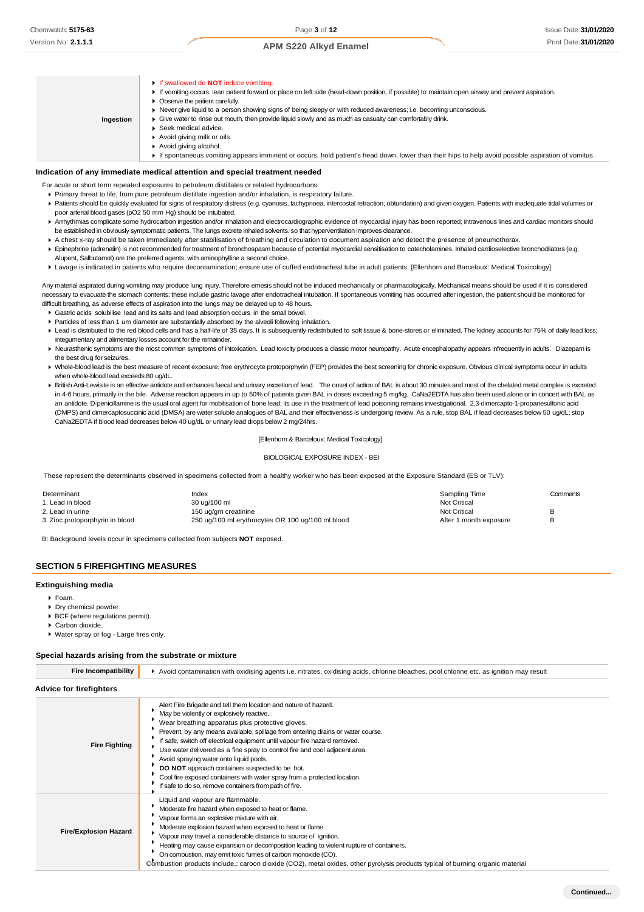If swallowed do **NOT** induce vomiting. If vomiting occurs, lean patient forward or place on left side (head-down position, if possible) to maintain open airway and prevent aspiration. **Deserve the patient carefully.** Never give liquid to a person showing signs of being sleepy or with reduced awareness; i.e. becoming unconscious.  $\bullet$ **Ingestion**Give water to rinse out mouth, then provide liquid slowly and as much as casualty can comfortably drink. ▶ Seek medical advice. Avoid giving milk or oils. Avoid giving alcohol. If spontaneous vomiting appears imminent or occurs, hold patient's head down, lower than their hips to help avoid possible aspiration of vomitus.

# **Indication of any immediate medical attention and special treatment needed**

- For acute or short term repeated exposures to petroleum distillates or related hydrocarbons:
	- Primary threat to life, from pure petroleum distillate ingestion and/or inhalation, is respiratory failure.
- Patients should be quickly evaluated for signs of respiratory distress (e.g. cyanosis, tachypnoea, intercostal retraction, obtundation) and given oxygen. Patients with inadequate tidal volumes or poor arterial blood gases (pO2 50 mm Hg) should be intubated.
- ▶ Arrhythmias complicate some hydrocarbon ingestion and/or inhalation and electrocardiographic evidence of myocardial injury has been reported; intravenous lines and cardiac monitors should be established in obviously symptomatic patients. The lungs excrete inhaled solvents, so that hyperventilation improves clearance.
- A chest x-ray should be taken immediately after stabilisation of breathing and circulation to document aspiration and detect the presence of pneumothorax.
- Epinephrine (adrenalin) is not recommended for treatment of bronchospasm because of potential myocardial sensitisation to catecholamines. Inhaled cardioselective bronchodilators (e.g. Alupent, Salbutamol) are the preferred agents, with aminophylline a second choice.
- Lavage is indicated in patients who require decontamination; ensure use of cuffed endotracheal tube in adult patients. [Ellenhorn and Barceloux: Medical Toxicology]

Any material aspirated during vomiting may produce lung injury. Therefore emesis should not be induced mechanically or pharmacologically. Mechanical means should be used if it is considered necessary to evacuate the stomach contents; these include gastric lavage after endotracheal intubation. If spontaneous vomiting has occurred after ingestion, the patient should be monitored for difficult breathing, as adverse effects of aspiration into the lungs may be delayed up to 48 hours.

- Gastric acids solubilise lead and its salts and lead absorption occurs in the small bowel.
- Particles of less than 1 um diameter are substantially absorbed by the alveoli following inhalation.
- Ead is distributed to the red blood cells and has a half-life of 35 days. It is subsequently redistributed to soft tissue & bone-stores or eliminated. The kidney accounts for 75% of daily lead loss; integumentary and alimentary losses account for the remainder.
- ▶ Neurasthenic symptoms are the most common symptoms of intoxication. Lead toxicity produces a classic motor neuropathy. Acute encephalopathy appears infrequently in adults. Diazepam is the best drug for seizures.
- ▶ Whole-blood lead is the best measure of recent exposure; free erythrocyte protoporphyrin (FEP) provides the best screening for chronic exposure. Obvious clinical symptoms occur in adults when whole-blood lead exceeds 80 ug/dL.
- ▶ British Anti-Lewisite is an effective antidote and enhances faecal and urinary excretion of lead. The onset of action of BAL is about 30 minutes and most of the chelated metal complex is excreted in 4-6 hours, primarily in the bile. Adverse reaction appears in up to 50% of patients given BAL in doses exceeding 5 mg/kg. CaNa2EDTA has also been used alone or in concert with BAL as an antidote. D-penicillamine is the usual oral agent for mobilisation of bone lead; its use in the treatment of lead poisoning remains investigational. 2,3-dimercapto-1-propanesulfonic acid (DMPS) and dimercaptosuccinic acid (DMSA) are water soluble analogues of BAL and their effectiveness is undergoing review. As a rule, stop BAL if lead decreases below 50 ug/dL; stop CaNa2EDTA if blood lead decreases below 40 ug/dL or urinary lead drops below 2 mg/24hrs.

#### [Ellenhorn & Barceloux: Medical Toxicology]

#### BIOLOGICAL EXPOSURE INDEX - BEI

These represent the determinants observed in specimens collected from a healthy worker who has been exposed at the Exposure Standard (ES or TLV):

| Determinant                     | Index                                             | Sampling Time          | Comments |
|---------------------------------|---------------------------------------------------|------------------------|----------|
| 1. Lead in blood                | 30 ug/100 ml                                      | Not Critical           |          |
| 2. Lead in urine                | 150 ug/gm creatinine                              | <b>Not Critical</b>    |          |
| 3. Zinc protoporphyrin in blood | 250 ug/100 ml erythrocytes OR 100 ug/100 ml blood | After 1 month exposure |          |
|                                 |                                                   |                        |          |

B: Background levels occur in specimens collected from subjects **NOT** exposed.

# **SECTION 5 FIREFIGHTING MEASURES**

#### **Extinguishing media**

- Foam.
- Dry chemical powder.
- BCF (where regulations permit).
- Carbon dioxide.
- Water spray or fog Large fires only.

### **Special hazards arising from the substrate or mixture**

| <b>Fire Incompatibility</b>    | Avoid contamination with oxidising agents i.e. nitrates, oxidising acids, chlorine bleaches, pool chlorine etc. as ignition may result                                                                                                                                                                                                                                                                                                                                                                                                                                                                                                               |  |  |
|--------------------------------|------------------------------------------------------------------------------------------------------------------------------------------------------------------------------------------------------------------------------------------------------------------------------------------------------------------------------------------------------------------------------------------------------------------------------------------------------------------------------------------------------------------------------------------------------------------------------------------------------------------------------------------------------|--|--|
| <b>Advice for firefighters</b> |                                                                                                                                                                                                                                                                                                                                                                                                                                                                                                                                                                                                                                                      |  |  |
| <b>Fire Fighting</b>           | Alert Fire Brigade and tell them location and nature of hazard.<br>May be violently or explosively reactive.<br>Wear breathing apparatus plus protective gloves.<br>Prevent, by any means available, spillage from entering drains or water course.<br>If safe, switch off electrical equipment until vapour fire hazard removed.<br>Use water delivered as a fine spray to control fire and cool adjacent area.<br>Avoid spraying water onto liquid pools.<br>DO NOT approach containers suspected to be hot.<br>Cool fire exposed containers with water spray from a protected location.<br>If safe to do so, remove containers from path of fire. |  |  |
| <b>Fire/Explosion Hazard</b>   | Liquid and vapour are flammable.<br>Moderate fire hazard when exposed to heat or flame.<br>Vapour forms an explosive mixture with air.<br>Moderate explosion hazard when exposed to heat or flame.<br>Vapour may travel a considerable distance to source of ignition.<br>Heating may cause expansion or decomposition leading to violent rupture of containers.<br>On combustion, may emit toxic fumes of carbon monoxide (CO).<br>Combustion products include, carbon dioxide (CO2), metal oxides, other pyrolysis products typical of burning organic material                                                                                    |  |  |

**Continued...**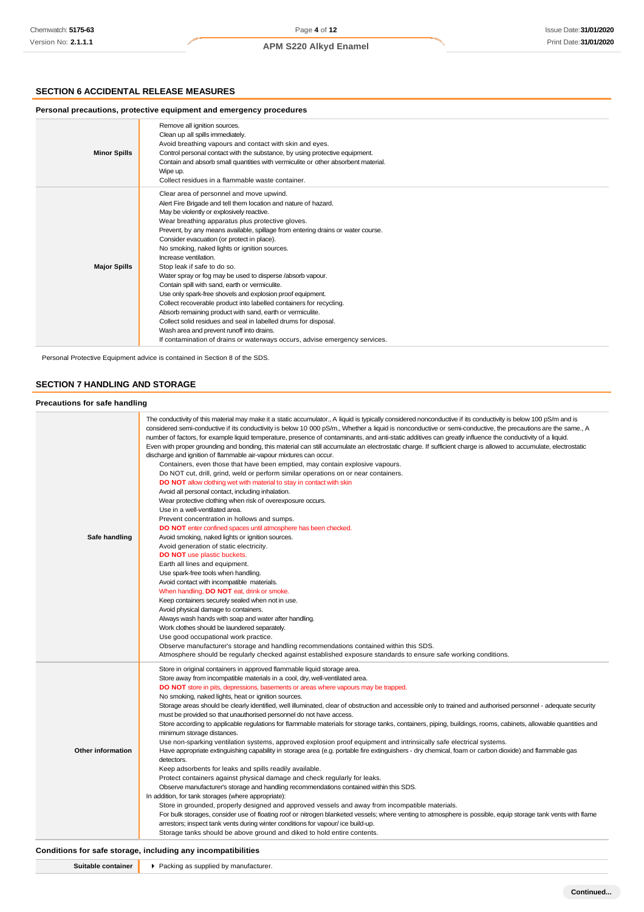# **SECTION 6 ACCIDENTAL RELEASE MEASURES**

#### **Personal precautions, protective equipment and emergency procedures Minor Spills** Remove all ignition sources. Clean up all spills immediately. Avoid breathing vapours and contact with skin and eyes. Control personal contact with the substance, by using protective equipment. Contain and absorb small quantities with vermiculite or other absorbent material. Wipe up. Collect residues in a flammable waste container. **Major Spills** Clear area of personnel and move upwind. Alert Fire Brigade and tell them location and nature of hazard. May be violently or explosively reactive. Wear breathing apparatus plus protective gloves. Prevent, by any means available, spillage from entering drains or water course. Consider evacuation (or protect in place). No smoking, naked lights or ignition sources. Increase ventilation. Stop leak if safe to do so. Water spray or fog may be used to disperse /absorb vapour. Contain spill with sand, earth or vermiculite. Use only spark-free shovels and explosion proof equipment. Collect recoverable product into labelled containers for recycling. Absorb remaining product with sand, earth or vermiculite. Collect solid residues and seal in labelled drums for disposal. Wash area and prevent runoff into drains. If contamination of drains or waterways occurs, advise emergency services.

Personal Protective Equipment advice is contained in Section 8 of the SDS.

# **SECTION 7 HANDLING AND STORAGE**

#### **Precautions for safe handling**

| Safe handling            | The conductivity of this material may make it a static accumulator., A liquid is typically considered nonconductive if its conductivity is below 100 pS/m and is<br>considered semi-conductive if its conductivity is below 10 000 pS/m., Whether a liquid is nonconductive or semi-conductive, the precautions are the same., A<br>number of factors, for example liquid temperature, presence of contaminants, and anti-static additives can greatly influence the conductivity of a liquid.<br>Even with proper grounding and bonding, this material can still accumulate an electrostatic charge. If sufficient charge is allowed to accumulate, electrostatic<br>discharge and ignition of flammable air-vapour mixtures can occur.<br>Containers, even those that have been emptied, may contain explosive vapours.<br>Do NOT cut, drill, grind, weld or perform similar operations on or near containers.<br><b>DO NOT</b> allow clothing wet with material to stay in contact with skin<br>Avoid all personal contact, including inhalation.<br>Wear protective clothing when risk of overexposure occurs.<br>Use in a well-ventilated area.<br>Prevent concentration in hollows and sumps.<br>DO NOT enter confined spaces until atmosphere has been checked.<br>Avoid smoking, naked lights or ignition sources.<br>Avoid generation of static electricity.<br><b>DO NOT</b> use plastic buckets.<br>Earth all lines and equipment.<br>Use spark-free tools when handling.<br>Avoid contact with incompatible materials.<br>When handling, DO NOT eat, drink or smoke.<br>Keep containers securely sealed when not in use.<br>Avoid physical damage to containers.<br>Always wash hands with soap and water after handling.<br>Work clothes should be laundered separately.<br>Use good occupational work practice.<br>Observe manufacturer's storage and handling recommendations contained within this SDS.<br>Atmosphere should be regularly checked against established exposure standards to ensure safe working conditions. |
|--------------------------|---------------------------------------------------------------------------------------------------------------------------------------------------------------------------------------------------------------------------------------------------------------------------------------------------------------------------------------------------------------------------------------------------------------------------------------------------------------------------------------------------------------------------------------------------------------------------------------------------------------------------------------------------------------------------------------------------------------------------------------------------------------------------------------------------------------------------------------------------------------------------------------------------------------------------------------------------------------------------------------------------------------------------------------------------------------------------------------------------------------------------------------------------------------------------------------------------------------------------------------------------------------------------------------------------------------------------------------------------------------------------------------------------------------------------------------------------------------------------------------------------------------------------------------------------------------------------------------------------------------------------------------------------------------------------------------------------------------------------------------------------------------------------------------------------------------------------------------------------------------------------------------------------------------------------------------------------------------------------------------------------------------------------------------------|
| <b>Other information</b> | Store in original containers in approved flammable liquid storage area.<br>Store away from incompatible materials in a cool, dry, well-ventilated area.<br><b>DO NOT</b> store in pits, depressions, basements or areas where vapours may be trapped.<br>No smoking, naked lights, heat or ignition sources.<br>Storage areas should be clearly identified, well illuminated, clear of obstruction and accessible only to trained and authorised personnel - adequate security<br>must be provided so that unauthorised personnel do not have access.<br>Store according to applicable regulations for flammable materials for storage tanks, containers, piping, buildings, rooms, cabinets, allowable quantities and<br>minimum storage distances.<br>Use non-sparking ventilation systems, approved explosion proof equipment and intrinsically safe electrical systems.<br>Have appropriate extinguishing capability in storage area (e.g. portable fire extinguishers - dry chemical, foam or carbon dioxide) and flammable gas<br>detectors.<br>Keep adsorbents for leaks and spills readily available.<br>Protect containers against physical damage and check regularly for leaks.<br>Observe manufacturer's storage and handling recommendations contained within this SDS.<br>In addition, for tank storages (where appropriate):<br>Store in grounded, properly designed and approved vessels and away from incompatible materials.<br>For bulk storages, consider use of floating roof or nitrogen blanketed vessels; where venting to atmosphere is possible, equip storage tank vents with flame<br>arrestors; inspect tank vents during winter conditions for vapour/ice build-up.<br>Storage tanks should be above ground and diked to hold entire contents.                                                                                                                                                                                                                                                                |

### **Conditions for safe storage, including any incompatibilities**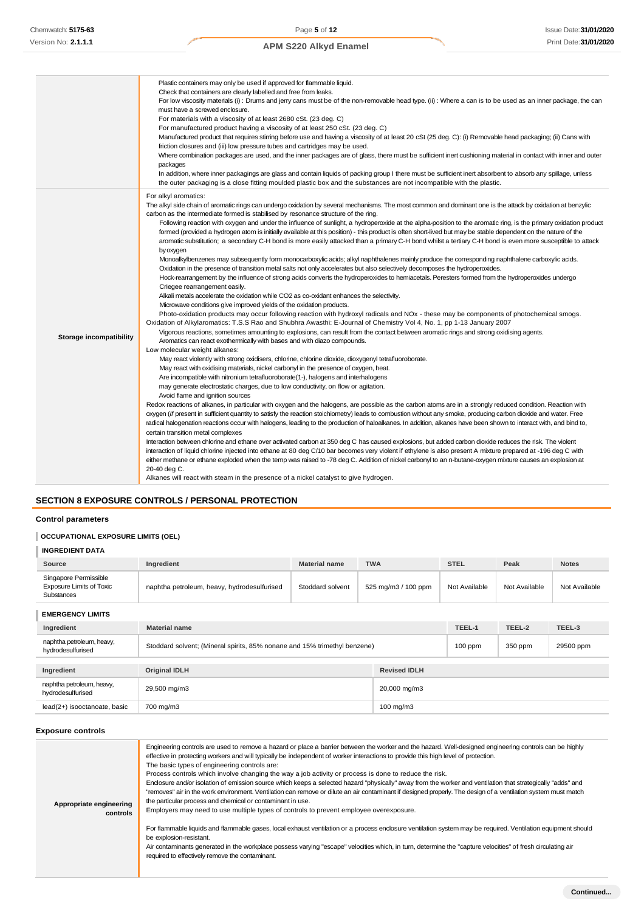|                                | Plastic containers may only be used if approved for flammable liquid.<br>Check that containers are clearly labelled and free from leaks.<br>For low viscosity materials (i): Drums and jerry cans must be of the non-removable head type. (ii): Where a can is to be used as an inner package, the can<br>must have a screwed enclosure.<br>For materials with a viscosity of at least 2680 cSt. (23 deg. C)<br>For manufactured product having a viscosity of at least 250 cSt. (23 deg. C)<br>Manufactured product that requires stirring before use and having a viscosity of at least 20 cSt (25 deg. C): (i) Removable head packaging; (ii) Cans with<br>friction closures and (iii) low pressure tubes and cartridges may be used.<br>Where combination packages are used, and the inner packages are of glass, there must be sufficient inert cushioning material in contact with inner and outer<br>packages<br>In addition, where inner packagings are glass and contain liquids of packing group I there must be sufficient inert absorbent to absorb any spillage, unless<br>the outer packaging is a close fitting moulded plastic box and the substances are not incompatible with the plastic.                                                                                                                                                                                                                                                                                                                                                                                                                                                                                                                                                                                                                                                                                                                                                                                                                                                                                                                                                                                                                                                                                                                                                                                                                                                                                                                                                                                                                                                                                                                                                                                                                                                                                                                                                                                                                                                                                                                                                                                                                                                                                                                                                                                                                                                                                                                   |
|--------------------------------|--------------------------------------------------------------------------------------------------------------------------------------------------------------------------------------------------------------------------------------------------------------------------------------------------------------------------------------------------------------------------------------------------------------------------------------------------------------------------------------------------------------------------------------------------------------------------------------------------------------------------------------------------------------------------------------------------------------------------------------------------------------------------------------------------------------------------------------------------------------------------------------------------------------------------------------------------------------------------------------------------------------------------------------------------------------------------------------------------------------------------------------------------------------------------------------------------------------------------------------------------------------------------------------------------------------------------------------------------------------------------------------------------------------------------------------------------------------------------------------------------------------------------------------------------------------------------------------------------------------------------------------------------------------------------------------------------------------------------------------------------------------------------------------------------------------------------------------------------------------------------------------------------------------------------------------------------------------------------------------------------------------------------------------------------------------------------------------------------------------------------------------------------------------------------------------------------------------------------------------------------------------------------------------------------------------------------------------------------------------------------------------------------------------------------------------------------------------------------------------------------------------------------------------------------------------------------------------------------------------------------------------------------------------------------------------------------------------------------------------------------------------------------------------------------------------------------------------------------------------------------------------------------------------------------------------------------------------------------------------------------------------------------------------------------------------------------------------------------------------------------------------------------------------------------------------------------------------------------------------------------------------------------------------------------------------------------------------------------------------------------------------------------------------------------------------------------------------------------------------------------------------------------------|
| <b>Storage incompatibility</b> | For alkyl aromatics:<br>The alkyl side chain of aromatic rings can undergo oxidation by several mechanisms. The most common and dominant one is the attack by oxidation at benzylic<br>carbon as the intermediate formed is stabilised by resonance structure of the ring.<br>Following reaction with oxygen and under the influence of sunlight, a hydroperoxide at the alpha-position to the aromatic ring, is the primary oxidation product<br>formed (provided a hydrogen atom is initially available at this position) - this product is often short-lived but may be stable dependent on the nature of the<br>aromatic substitution; a secondary C-H bond is more easily attacked than a primary C-H bond whilst a tertiary C-H bond is even more susceptible to attack<br>by oxygen<br>Monoalkylbenzenes may subsequently form monocarboxylic acids; alkyl naphthalenes mainly produce the corresponding naphthalene carboxylic acids.<br>Oxidation in the presence of transition metal salts not only accelerates but also selectively decomposes the hydroperoxides.<br>Hock-rearrangement by the influence of strong acids converts the hydroperoxides to hemiacetals. Peresters formed from the hydroperoxides undergo<br>Criegee rearrangement easily.<br>Alkali metals accelerate the oxidation while CO2 as co-oxidant enhances the selectivity.<br>Microwave conditions give improved yields of the oxidation products.<br>Photo-oxidation products may occur following reaction with hydroxyl radicals and NOx - these may be components of photochemical smogs.<br>Oxidation of Alkylaromatics: T.S.S Rao and Shubhra Awasthi: E-Journal of Chemistry Vol 4, No. 1, pp 1-13 January 2007<br>Vigorous reactions, sometimes amounting to explosions, can result from the contact between aromatic rings and strong oxidising agents.<br>Aromatics can react exothermically with bases and with diazo compounds.<br>Low molecular weight alkanes:<br>May react violently with strong oxidisers, chlorine, chlorine dioxide, dioxygenyl tetrafluoroborate.<br>May react with oxidising materials, nickel carbonyl in the presence of oxygen, heat.<br>Are incompatible with nitronium tetrafluoroborate(1-), halogens and interhalogens<br>may generate electrostatic charges, due to low conductivity, on flow or agitation.<br>Avoid flame and ignition sources<br>Redox reactions of alkanes, in particular with oxygen and the halogens, are possible as the carbon atoms are in a strongly reduced condition. Reaction with<br>oxygen (if present in sufficient quantity to satisfy the reaction stoichiometry) leads to combustion without any smoke, producing carbon dioxide and water. Free<br>radical halogenation reactions occur with halogens, leading to the production of haloalkanes. In addition, alkanes have been shown to interact with, and bind to,<br>certain transition metal complexes<br>Interaction between chlorine and ethane over activated carbon at 350 deg C has caused explosions, but added carbon dioxide reduces the risk. The violent<br>interaction of liquid chlorine injected into ethane at 80 deg C/10 bar becomes very violent if ethylene is also present A mixture prepared at -196 deg C with<br>either methane or ethane exploded when the temp was raised to -78 deg C. Addition of nickel carbonyl to an n-butane-oxygen mixture causes an explosion at<br>20-40 deg C.<br>Alkanes will react with steam in the presence of a nickel catalyst to give hydrogen. |

# **SECTION 8 EXPOSURE CONTROLS / PERSONAL PROTECTION**

# **Control parameters**

# **OCCUPATIONAL EXPOSURE LIMITS (OEL)**

| <b>INGREDIENT DATA</b>                                                        |                                                                           |                      |                     |               |               |               |  |
|-------------------------------------------------------------------------------|---------------------------------------------------------------------------|----------------------|---------------------|---------------|---------------|---------------|--|
| Source                                                                        | Ingredient                                                                | <b>Material name</b> | <b>TWA</b>          | <b>STEL</b>   | Peak          | <b>Notes</b>  |  |
| Singapore Permissible<br><b>Exposure Limits of Toxic</b><br><b>Substances</b> | naphtha petroleum, heavy, hydrodesulfurised                               | Stoddard solvent     | 525 mg/m3 / 100 ppm | Not Available | Not Available | Not Available |  |
| <b>EMERGENCY LIMITS</b>                                                       |                                                                           |                      |                     |               |               |               |  |
| Ingredient                                                                    | <b>Material name</b>                                                      |                      |                     | TEEL-1        | TEEL-2        | TEEL-3        |  |
| naphtha petroleum, heavy,<br>hydrodesulfurised                                | Stoddard solvent; (Mineral spirits, 85% nonane and 15% trimethyl benzene) |                      | $100$ ppm           | 350 ppm       | 29500 ppm     |               |  |
| Ingredient                                                                    | <b>Original IDLH</b><br><b>Revised IDLH</b>                               |                      |                     |               |               |               |  |
| naphtha petroleum, heavy,<br>hydrodesulfurised                                | 29,500 mg/m3                                                              |                      | 20,000 mg/m3        |               |               |               |  |
| lead(2+) isooctanoate, basic                                                  | 700 mg/m3<br>100 mg/m3                                                    |                      |                     |               |               |               |  |

# **Exposure controls**

| Appropriate engineering<br>controls | Engineering controls are used to remove a hazard or place a barrier between the worker and the hazard. Well-designed engineering controls can be highly<br>effective in protecting workers and will typically be independent of worker interactions to provide this high level of protection.<br>The basic types of engineering controls are:<br>Process controls which involve changing the way a job activity or process is done to reduce the risk.<br>Enclosure and/or isolation of emission source which keeps a selected hazard "physically" away from the worker and ventilation that strategically "adds" and<br>"removes" air in the work environment. Ventilation can remove or dilute an air contaminant if designed properly. The design of a ventilation system must match<br>the particular process and chemical or contaminant in use.<br>Employers may need to use multiple types of controls to prevent employee overexposure.<br>For flammable liquids and flammable gases, local exhaust ventilation or a process enclosure ventilation system may be required. Ventilation equipment should<br>be explosion-resistant.<br>Air contaminants generated in the workplace possess varying "escape" velocities which, in turn, determine the "capture velocities" of fresh circulating air<br>required to effectively remove the contaminant. |
|-------------------------------------|--------------------------------------------------------------------------------------------------------------------------------------------------------------------------------------------------------------------------------------------------------------------------------------------------------------------------------------------------------------------------------------------------------------------------------------------------------------------------------------------------------------------------------------------------------------------------------------------------------------------------------------------------------------------------------------------------------------------------------------------------------------------------------------------------------------------------------------------------------------------------------------------------------------------------------------------------------------------------------------------------------------------------------------------------------------------------------------------------------------------------------------------------------------------------------------------------------------------------------------------------------------------------------------------------------------------------------------------------------------|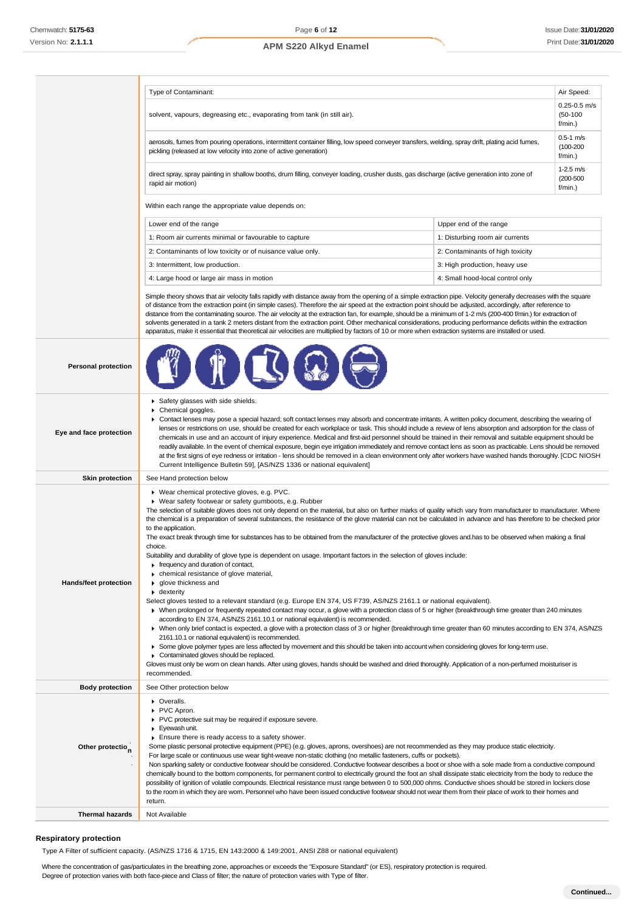|                              | Air Speed:<br>Type of Contaminant:                                                                                                                                                                                                                                                                                                                                                                                                                                                                                                                                                                                                                                                                                                                                                                                                                                                                                                                                                                                                                                                                                                                                                                                                                                                                                                                                                                                                                                                                                                                                                                                                                                                                                                                                                                                               |                                                                   |                                |
|------------------------------|----------------------------------------------------------------------------------------------------------------------------------------------------------------------------------------------------------------------------------------------------------------------------------------------------------------------------------------------------------------------------------------------------------------------------------------------------------------------------------------------------------------------------------------------------------------------------------------------------------------------------------------------------------------------------------------------------------------------------------------------------------------------------------------------------------------------------------------------------------------------------------------------------------------------------------------------------------------------------------------------------------------------------------------------------------------------------------------------------------------------------------------------------------------------------------------------------------------------------------------------------------------------------------------------------------------------------------------------------------------------------------------------------------------------------------------------------------------------------------------------------------------------------------------------------------------------------------------------------------------------------------------------------------------------------------------------------------------------------------------------------------------------------------------------------------------------------------|-------------------------------------------------------------------|--------------------------------|
|                              | solvent, vapours, degreasing etc., evaporating from tank (in still air).<br>f/min.)                                                                                                                                                                                                                                                                                                                                                                                                                                                                                                                                                                                                                                                                                                                                                                                                                                                                                                                                                                                                                                                                                                                                                                                                                                                                                                                                                                                                                                                                                                                                                                                                                                                                                                                                              |                                                                   | $0.25 - 0.5$ m/s<br>$(50-100)$ |
|                              | aerosols, fumes from pouring operations, intermittent container filling, low speed conveyer transfers, welding, spray drift, plating acid fumes,<br>$(100 - 200)$<br>pickling (released at low velocity into zone of active generation)<br>f/min.)                                                                                                                                                                                                                                                                                                                                                                                                                                                                                                                                                                                                                                                                                                                                                                                                                                                                                                                                                                                                                                                                                                                                                                                                                                                                                                                                                                                                                                                                                                                                                                               |                                                                   | $0.5-1$ m/s                    |
|                              | $1-2.5$ m/s<br>direct spray, spray painting in shallow booths, drum filling, conveyer loading, crusher dusts, gas discharge (active generation into zone of<br>$(200 - 500)$<br>rapid air motion)                                                                                                                                                                                                                                                                                                                                                                                                                                                                                                                                                                                                                                                                                                                                                                                                                                                                                                                                                                                                                                                                                                                                                                                                                                                                                                                                                                                                                                                                                                                                                                                                                                |                                                                   | f/min.)                        |
|                              | Within each range the appropriate value depends on:                                                                                                                                                                                                                                                                                                                                                                                                                                                                                                                                                                                                                                                                                                                                                                                                                                                                                                                                                                                                                                                                                                                                                                                                                                                                                                                                                                                                                                                                                                                                                                                                                                                                                                                                                                              |                                                                   |                                |
|                              | Lower end of the range                                                                                                                                                                                                                                                                                                                                                                                                                                                                                                                                                                                                                                                                                                                                                                                                                                                                                                                                                                                                                                                                                                                                                                                                                                                                                                                                                                                                                                                                                                                                                                                                                                                                                                                                                                                                           | Upper end of the range                                            |                                |
|                              | 1: Room air currents minimal or favourable to capture                                                                                                                                                                                                                                                                                                                                                                                                                                                                                                                                                                                                                                                                                                                                                                                                                                                                                                                                                                                                                                                                                                                                                                                                                                                                                                                                                                                                                                                                                                                                                                                                                                                                                                                                                                            | 1: Disturbing room air currents                                   |                                |
|                              | 2: Contaminants of low toxicity or of nuisance value only.                                                                                                                                                                                                                                                                                                                                                                                                                                                                                                                                                                                                                                                                                                                                                                                                                                                                                                                                                                                                                                                                                                                                                                                                                                                                                                                                                                                                                                                                                                                                                                                                                                                                                                                                                                       | 2: Contaminants of high toxicity                                  |                                |
|                              | 3: Intermittent, low production.                                                                                                                                                                                                                                                                                                                                                                                                                                                                                                                                                                                                                                                                                                                                                                                                                                                                                                                                                                                                                                                                                                                                                                                                                                                                                                                                                                                                                                                                                                                                                                                                                                                                                                                                                                                                 |                                                                   |                                |
|                              |                                                                                                                                                                                                                                                                                                                                                                                                                                                                                                                                                                                                                                                                                                                                                                                                                                                                                                                                                                                                                                                                                                                                                                                                                                                                                                                                                                                                                                                                                                                                                                                                                                                                                                                                                                                                                                  | 3: High production, heavy use<br>4: Small hood-local control only |                                |
|                              | 4: Large hood or large air mass in motion                                                                                                                                                                                                                                                                                                                                                                                                                                                                                                                                                                                                                                                                                                                                                                                                                                                                                                                                                                                                                                                                                                                                                                                                                                                                                                                                                                                                                                                                                                                                                                                                                                                                                                                                                                                        |                                                                   |                                |
|                              | Simple theory shows that air velocity falls rapidly with distance away from the opening of a simple extraction pipe. Velocity generally decreases with the square<br>of distance from the extraction point (in simple cases). Therefore the air speed at the extraction point should be adjusted, accordingly, after reference to<br>distance from the contaminating source. The air velocity at the extraction fan, for example, should be a minimum of 1-2 m/s (200-400 f/min.) for extraction of<br>solvents generated in a tank 2 meters distant from the extraction point. Other mechanical considerations, producing performance deficits within the extraction<br>apparatus, make it essential that theoretical air velocities are multiplied by factors of 10 or more when extraction systems are installed or used.                                                                                                                                                                                                                                                                                                                                                                                                                                                                                                                                                                                                                                                                                                                                                                                                                                                                                                                                                                                                     |                                                                   |                                |
| <b>Personal protection</b>   |                                                                                                                                                                                                                                                                                                                                                                                                                                                                                                                                                                                                                                                                                                                                                                                                                                                                                                                                                                                                                                                                                                                                                                                                                                                                                                                                                                                                                                                                                                                                                                                                                                                                                                                                                                                                                                  |                                                                   |                                |
| Eye and face protection      | Safety glasses with side shields.<br>Chemical goggles.<br>▶ Contact lenses may pose a special hazard; soft contact lenses may absorb and concentrate irritants. A written policy document, describing the wearing of<br>lenses or restrictions on use, should be created for each workplace or task. This should include a review of lens absorption and adsorption for the class of<br>chemicals in use and an account of injury experience. Medical and first-aid personnel should be trained in their removal and suitable equipment should be<br>readily available. In the event of chemical exposure, begin eye irrigation immediately and remove contact lens as soon as practicable. Lens should be removed<br>at the first signs of eye redness or irritation - lens should be removed in a clean environment only after workers have washed hands thoroughly. [CDC NIOSH<br>Current Intelligence Bulletin 59], [AS/NZS 1336 or national equivalent]                                                                                                                                                                                                                                                                                                                                                                                                                                                                                                                                                                                                                                                                                                                                                                                                                                                                     |                                                                   |                                |
| <b>Skin protection</b>       | See Hand protection below                                                                                                                                                                                                                                                                                                                                                                                                                                                                                                                                                                                                                                                                                                                                                                                                                                                                                                                                                                                                                                                                                                                                                                                                                                                                                                                                                                                                                                                                                                                                                                                                                                                                                                                                                                                                        |                                                                   |                                |
| Hands/feet protection        | ▶ Wear chemical protective gloves, e.g. PVC.<br>▶ Wear safety footwear or safety gumboots, e.g. Rubber<br>The selection of suitable gloves does not only depend on the material, but also on further marks of quality which vary from manufacturer to manufacturer. Where<br>the chemical is a preparation of several substances, the resistance of the glove material can not be calculated in advance and has therefore to be checked prior<br>to the application.<br>The exact break through time for substances has to be obtained from the manufacturer of the protective gloves and has to be observed when making a final<br>choice.<br>Suitability and durability of glove type is dependent on usage. Important factors in the selection of gloves include:<br>frequency and duration of contact,<br>• chemical resistance of glove material,<br>glove thickness and<br>• dexterity<br>Select gloves tested to a relevant standard (e.g. Europe EN 374, US F739, AS/NZS 2161.1 or national equivalent).<br>▶ When prolonged or frequently repeated contact may occur, a glove with a protection class of 5 or higher (breakthrough time greater than 240 minutes<br>according to EN 374, AS/NZS 2161.10.1 or national equivalent) is recommended.<br>▶ When only brief contact is expected, a glove with a protection class of 3 or higher (breakthrough time greater than 60 minutes according to EN 374, AS/NZS<br>2161.10.1 or national equivalent) is recommended.<br>► Some glove polymer types are less affected by movement and this should be taken into account when considering gloves for long-term use.<br>Contaminated gloves should be replaced.<br>Gloves must only be wom on clean hands. After using gloves, hands should be washed and dried thoroughly. Application of a non-perfumed moisturiser is |                                                                   |                                |
| <b>Body protection</b>       | recommended.<br>See Other protection below                                                                                                                                                                                                                                                                                                                                                                                                                                                                                                                                                                                                                                                                                                                                                                                                                                                                                                                                                                                                                                                                                                                                                                                                                                                                                                                                                                                                                                                                                                                                                                                                                                                                                                                                                                                       |                                                                   |                                |
| Other protectio <sub>n</sub> | • Overalls.<br>PVC Apron.<br>PVC protective suit may be required if exposure severe.<br>Eyewash unit.<br>Ensure there is ready access to a safety shower.<br>Some plastic personal protective equipment (PPE) (e.g. gloves, aprons, overshoes) are not recommended as they may produce static electricity.<br>For large scale or continuous use wear tight-weave non-static clothing (no metallic fasteners, cuffs or pockets).<br>Non sparking safety or conductive footwear should be considered. Conductive footwear describes a boot or shoe with a sole made from a conductive compound<br>chemically bound to the bottom components, for permanent control to electrically ground the foot an shall dissipate static electricity from the body to reduce the<br>possibility of ignition of volatile compounds. Electrical resistance must range between 0 to 500,000 ohms. Conductive shoes should be stored in lockers close<br>to the room in which they are worn. Personnel who have been issued conductive footwear should not wear them from their place of work to their homes and<br>return.                                                                                                                                                                                                                                                                                                                                                                                                                                                                                                                                                                                                                                                                                                                        |                                                                   |                                |

**Thermal hazards** Not Available

# **Respiratory protection**

Type A Filter of sufficient capacity. (AS/NZS 1716 & 1715, EN 143:2000 & 149:2001, ANSI Z88 or national equivalent)

Where the concentration of gas/particulates in the breathing zone, approaches or exceeds the "Exposure Standard" (or ES), respiratory protection is required.

Degree of protection varies with both face-piece and Class of filter; the nature of protection varies with Type of filter.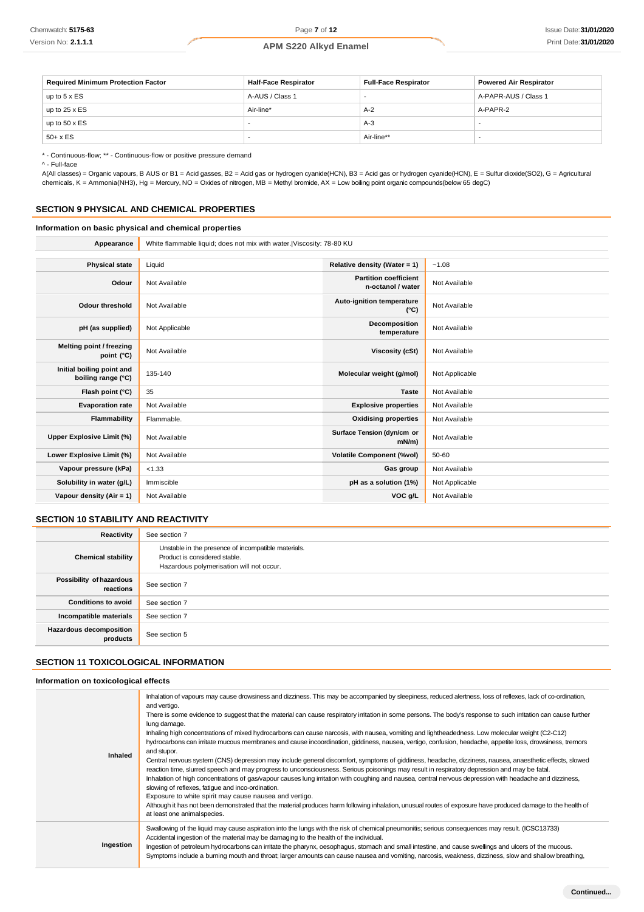| <b>Required Minimum Protection Factor</b> | <b>Half-Face Respirator</b> | <b>Full-Face Respirator</b> | <b>Powered Air Respirator</b> |
|-------------------------------------------|-----------------------------|-----------------------------|-------------------------------|
| up to $5 \times ES$                       | A-AUS / Class 1             |                             | A-PAPR-AUS / Class 1          |
| up to $25 \times ES$                      | Air-line*                   | $A-2$                       | A-PAPR-2                      |
| up to $50 \times ES$                      |                             | $A-3$                       |                               |
| $50+ x ES$                                |                             | Air-line**                  |                               |

\* - Continuous-flow; \*\* - Continuous-flow or positive pressure demand

^ - Full-face

A(All classes) = Organic vapours, B AUS or B1 = Acid gasses, B2 = Acid gas or hydrogen cyanide(HCN), B3 = Acid gas or hydrogen cyanide(HCN), E = Sulfur dioxide(SO2), G = Agricultural chemicals, K = Ammonia(NH3), Hg = Mercury, NO = Oxides of nitrogen, MB = Methyl bromide, AX = Low boiling point organic compounds(below 65 degC)

### **SECTION 9 PHYSICAL AND CHEMICAL PROPERTIES**

### **Information on basic physical and chemical properties**

Appearance White flammable liquid; does not mix with water.|Viscosity: 78-80 KU

| <b>Physical state</b>                           | Liquid         | Relative density (Water = 1)                      | $-1.08$        |
|-------------------------------------------------|----------------|---------------------------------------------------|----------------|
| Odour                                           | Not Available  | <b>Partition coefficient</b><br>n-octanol / water | Not Available  |
| <b>Odour threshold</b>                          | Not Available  | Auto-ignition temperature<br>$(^{\circ}C)$        | Not Available  |
| pH (as supplied)                                | Not Applicable | Decomposition<br>temperature                      | Not Available  |
| Melting point / freezing<br>point (°C)          | Not Available  | <b>Viscosity (cSt)</b>                            | Not Available  |
| Initial boiling point and<br>boiling range (°C) | 135-140        | Molecular weight (g/mol)                          | Not Applicable |
| Flash point (°C)                                | 35             | <b>Taste</b>                                      | Not Available  |
| <b>Evaporation rate</b>                         | Not Available  | <b>Explosive properties</b>                       | Not Available  |
| Flammability                                    | Flammable.     | <b>Oxidising properties</b>                       | Not Available  |
| Upper Explosive Limit (%)                       | Not Available  | Surface Tension (dyn/cm or<br>mN/m                | Not Available  |
| Lower Explosive Limit (%)                       | Not Available  | <b>Volatile Component (%vol)</b>                  | 50-60          |
| Vapour pressure (kPa)                           | < 1.33         | Gas group                                         | Not Available  |
| Solubility in water (g/L)                       | Immiscible     | pH as a solution (1%)                             | Not Applicable |
| Vapour density (Air = 1)                        | Not Available  | VOC g/L                                           | Not Available  |

# **SECTION 10 STABILITY AND REACTIVITY**

| Reactivity                            | See section 7                                                                                                                    |
|---------------------------------------|----------------------------------------------------------------------------------------------------------------------------------|
| <b>Chemical stability</b>             | Unstable in the presence of incompatible materials.<br>Product is considered stable.<br>Hazardous polymerisation will not occur. |
| Possibility of hazardous<br>reactions | See section 7                                                                                                                    |
| <b>Conditions to avoid</b>            | See section 7                                                                                                                    |
| Incompatible materials                | See section 7                                                                                                                    |
| Hazardous decomposition<br>products   | See section 5                                                                                                                    |

# **SECTION 11 TOXICOLOGICAL INFORMATION**

**Information on toxicological effects**

| Inhaled   | Inhalation of vapours may cause drowsiness and dizziness. This may be accompanied by sleepiness, reduced alertness, loss of reflexes, lack of co-ordination,<br>and vertigo.<br>There is some evidence to suggest that the material can cause respiratory irritation in some persons. The body's response to such irritation can cause further<br>lung damage.<br>Inhaling high concentrations of mixed hydrocarbons can cause narcosis, with nausea, vomiting and lightheadedness. Low molecular weight (C2-C12)<br>hydrocarbons can irritate mucous membranes and cause incoordination, giddiness, nausea, vertigo, confusion, headache, appetite loss, drowsiness, tremors<br>and stupor.<br>Central nervous system (CNS) depression may include general discomfort, symptoms of giddiness, headache, dizziness, nausea, anaesthetic effects, slowed<br>reaction time, slurred speech and may progress to unconsciousness. Serious poisonings may result in respiratory depression and may be fatal.<br>Inhalation of high concentrations of gas/vapour causes lung irritation with coughing and nausea, central nervous depression with headache and dizziness,<br>slowing of reflexes, fatigue and inco-ordination.<br>Exposure to white spirit may cause nausea and vertigo.<br>Although it has not been demonstrated that the material produces harm following inhalation, unusual routes of exposure have produced damage to the health of<br>at least one animal species. |
|-----------|------------------------------------------------------------------------------------------------------------------------------------------------------------------------------------------------------------------------------------------------------------------------------------------------------------------------------------------------------------------------------------------------------------------------------------------------------------------------------------------------------------------------------------------------------------------------------------------------------------------------------------------------------------------------------------------------------------------------------------------------------------------------------------------------------------------------------------------------------------------------------------------------------------------------------------------------------------------------------------------------------------------------------------------------------------------------------------------------------------------------------------------------------------------------------------------------------------------------------------------------------------------------------------------------------------------------------------------------------------------------------------------------------------------------------------------------------------------------------------|
| Ingestion | Swallowing of the liquid may cause aspiration into the lungs with the risk of chemical pneumonitis; serious consequences may result. (ICSC13733)<br>Accidental ingestion of the material may be damaging to the health of the individual.<br>Ingestion of petroleum hydrocarbons can irritate the pharynx, oesophagus, stomach and small intestine, and cause swellings and ulcers of the mucous.<br>Symptoms include a burning mouth and throat; larger amounts can cause nausea and vomiting, narcosis, weakness, dizziness, slow and shallow breathing,                                                                                                                                                                                                                                                                                                                                                                                                                                                                                                                                                                                                                                                                                                                                                                                                                                                                                                                         |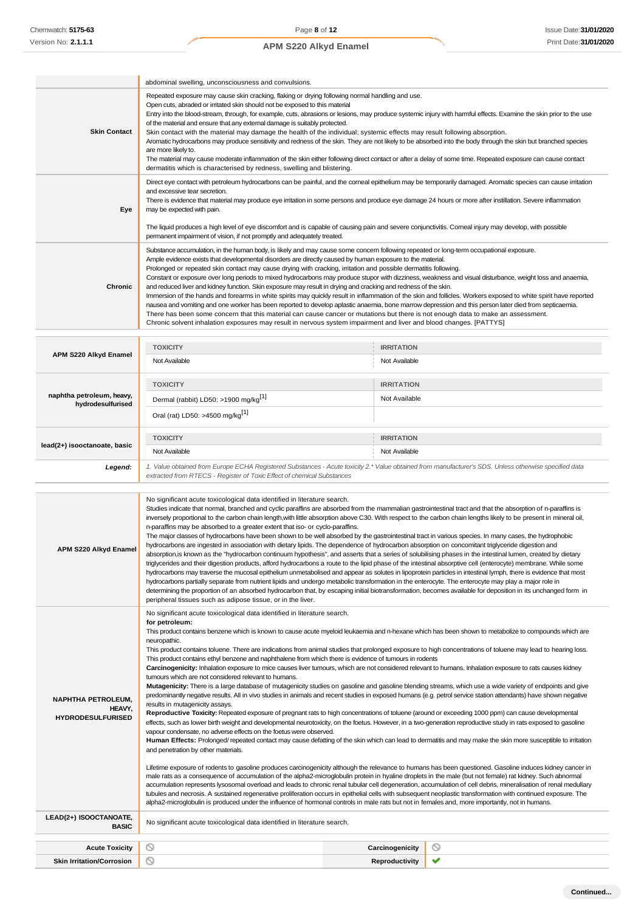|                                                | abdominal swelling, unconsciousness and convulsions.                                                                                                                                                                                                                                                                                                                                                                                                                                                                                                                                                                                                                                                                                                                                                                                                                                                                                                                                                                                                                                                                                                                                                                                          |                                    |  |
|------------------------------------------------|-----------------------------------------------------------------------------------------------------------------------------------------------------------------------------------------------------------------------------------------------------------------------------------------------------------------------------------------------------------------------------------------------------------------------------------------------------------------------------------------------------------------------------------------------------------------------------------------------------------------------------------------------------------------------------------------------------------------------------------------------------------------------------------------------------------------------------------------------------------------------------------------------------------------------------------------------------------------------------------------------------------------------------------------------------------------------------------------------------------------------------------------------------------------------------------------------------------------------------------------------|------------------------------------|--|
| <b>Skin Contact</b>                            | Repeated exposure may cause skin cracking, flaking or drying following normal handling and use.<br>Open cuts, abraded or irritated skin should not be exposed to this material<br>Entry into the blood-stream, through, for example, cuts, abrasions or lesions, may produce systemic injury with harmful effects. Examine the skin prior to the use<br>of the material and ensure that any external damage is suitably protected.<br>Skin contact with the material may damage the health of the individual; systemic effects may result following absorption.<br>Aromatic hydrocarbons may produce sensitivity and redness of the skin. They are not likely to be absorbed into the body through the skin but branched species<br>are more likely to.<br>The material may cause moderate inflammation of the skin either following direct contact or after a delay of some time. Repeated exposure can cause contact<br>dermatitis which is characterised by redness, swelling and blistering.                                                                                                                                                                                                                                              |                                    |  |
| Eye                                            | Direct eye contact with petroleum hydrocarbons can be painful, and the corneal epithelium may be temporarily damaged. Aromatic species can cause irritation<br>and excessive tear secretion.<br>There is evidence that material may produce eye irritation in some persons and produce eye damage 24 hours or more after instillation. Severe inflammation<br>may be expected with pain.<br>The liquid produces a high level of eye discomfort and is capable of causing pain and severe conjunctivitis. Comeal injury may develop, with possible<br>permanent impairment of vision, if not promptly and adequately treated.                                                                                                                                                                                                                                                                                                                                                                                                                                                                                                                                                                                                                  |                                    |  |
| Chronic                                        | Substance accumulation, in the human body, is likely and may cause some concem following repeated or long-term occupational exposure.<br>Ample evidence exists that developmental disorders are directly caused by human exposure to the material.<br>Prolonged or repeated skin contact may cause drying with cracking, irritation and possible dermatitis following.<br>Constant or exposure over long periods to mixed hydrocarbons may produce stupor with dizziness, weakness and visual disturbance, weight loss and anaemia,<br>and reduced liver and kidney function. Skin exposure may result in drying and cracking and redness of the skin.<br>Immersion of the hands and forearms in white spirits may quickly result in inflammation of the skin and follicles. Workers exposed to white spirit have reported<br>nausea and vomiting and one worker has been reported to develop aplastic anaemia, bone marrow depression and this person later died from septicaemia.<br>There has been some concern that this material can cause cancer or mutations but there is not enough data to make an assessment.<br>Chronic solvent inhalation exposures may result in nervous system impairment and liver and blood changes. [PATTYS] |                                    |  |
| APM S220 Alkyd Enamel                          | <b>TOXICITY</b><br>Not Available                                                                                                                                                                                                                                                                                                                                                                                                                                                                                                                                                                                                                                                                                                                                                                                                                                                                                                                                                                                                                                                                                                                                                                                                              | <b>IRRITATION</b><br>Not Available |  |
| naphtha petroleum, heavy,<br>hydrodesulfurised | <b>TOXICITY</b><br>Dermal (rabbit) LD50: >1900 mg/kg <sup>[1]</sup><br>Oral (rat) LD50: >4500 mg/kg <sup>[1]</sup>                                                                                                                                                                                                                                                                                                                                                                                                                                                                                                                                                                                                                                                                                                                                                                                                                                                                                                                                                                                                                                                                                                                            | <b>IRRITATION</b><br>Not Available |  |
| lead(2+) isooctanoate, basic                   | <b>TOXICITY</b><br>Not Available                                                                                                                                                                                                                                                                                                                                                                                                                                                                                                                                                                                                                                                                                                                                                                                                                                                                                                                                                                                                                                                                                                                                                                                                              | <b>IRRITATION</b><br>Not Available |  |
| Legend:                                        | 1. Value obtained from Europe ECHA Registered Substances - Acute toxicity 2.* Value obtained from manufacturer's SDS. Unless otherwise specified data<br>extracted from RTECS - Register of Toxic Effect of chemical Substances                                                                                                                                                                                                                                                                                                                                                                                                                                                                                                                                                                                                                                                                                                                                                                                                                                                                                                                                                                                                               |                                    |  |
|                                                | No significant acute toxicological data identified in literature search.<br>Studies indicate that normal, branched and cyclic paraffins are absorbed from the mammalian gastrointestinal tract and that the absorption of n-paraffins is<br>inversely proportional to the carbon chain length with little absorption above C30. With respect to the carbon chain lengths likely to be present in mineral oil                                                                                                                                                                                                                                                                                                                                                                                                                                                                                                                                                                                                                                                                                                                                                                                                                                  |                                    |  |

| APM S220 Alkyd Enamel                                    | inversely proportional to the carbon chain length, with little absorption above C30. With respect to the carbon chain lengths likely to be present in mineral oil,<br>n-paraffins may be absorbed to a greater extent that iso- or cyclo-paraffins.<br>The major classes of hydrocarbons have been shown to be well absorbed by the gastrointestinal tract in various species. In many cases, the hydrophobic<br>hydrocarbons are ingested in association with dietary lipids. The dependence of hydrocarbon absorption on concomitant triglyceride digestion and<br>absorption, is known as the "hydrocarbon continuum hypothesis", and asserts that a series of solubilising phases in the intestinal lumen, created by dietary<br>triglycerides and their digestion products, afford hydrocarbons a route to the lipid phase of the intestinal absorptive cell (enterocyte) membrane. While some<br>hydrocarbons may traverse the mucosal epithelium unmetabolised and appear as solutes in lipoprotein particles in intestinal lymph, there is evidence that most<br>hydrocarbons partially separate from nutrient lipids and undergo metabolic transformation in the enterocyte. The enterocyte may play a major role in<br>determining the proportion of an absorbed hydrocarbon that, by escaping initial biotransformation, becomes available for deposition in its unchanged form in<br>peripheral tissues such as adipose tissue, or in the liver.                                                                                                                                                                                                                                                                                                                                                                                                                                                                                                                                                                                                                                                                                                                                                                                                                                                                                                                                                                                                                                                                                                 |                 |   |  |  |
|----------------------------------------------------------|--------------------------------------------------------------------------------------------------------------------------------------------------------------------------------------------------------------------------------------------------------------------------------------------------------------------------------------------------------------------------------------------------------------------------------------------------------------------------------------------------------------------------------------------------------------------------------------------------------------------------------------------------------------------------------------------------------------------------------------------------------------------------------------------------------------------------------------------------------------------------------------------------------------------------------------------------------------------------------------------------------------------------------------------------------------------------------------------------------------------------------------------------------------------------------------------------------------------------------------------------------------------------------------------------------------------------------------------------------------------------------------------------------------------------------------------------------------------------------------------------------------------------------------------------------------------------------------------------------------------------------------------------------------------------------------------------------------------------------------------------------------------------------------------------------------------------------------------------------------------------------------------------------------------------------------------------------------------------------------------------------------------------------------------------------------------------------------------------------------------------------------------------------------------------------------------------------------------------------------------------------------------------------------------------------------------------------------------------------------------------------------------------------------------------------------------------------------------------------------------------------------------------------------------------------------|-----------------|---|--|--|
| NAPHTHA PETROLEUM.<br>HEAVY.<br><b>HYDRODESULFURISED</b> | No significant acute toxicological data identified in literature search.<br>for petroleum:<br>This product contains benzene which is known to cause acute myeloid leukaemia and n-hexane which has been shown to metabolize to compounds which are<br>neuropathic.<br>This product contains toluene. There are indications from animal studies that prolonged exposure to high concentrations of toluene may lead to hearing loss.<br>This product contains ethyl benzene and naphthalene from which there is evidence of tumours in rodents<br>Carcinogenicity: Inhalation exposure to mice causes liver tumours, which are not considered relevant to humans. Inhalation exposure to rats causes kidney<br>tumours which are not considered relevant to humans.<br>Mutagenicity: There is a large database of mutagenicity studies on gasoline and gasoline blending streams, which use a wide variety of endpoints and give<br>predominantly negative results. All in vivo studies in animals and recent studies in exposed humans (e.g. petrol service station attendants) have shown negative<br>results in mutagenicity assays.<br>Reproductive Toxicity: Repeated exposure of pregnant rats to high concentrations of toluene (around or exceeding 1000 ppm) can cause developmental<br>effects, such as lower birth weight and developmental neurotoxicity, on the foetus. However, in a two-generation reproductive study in rats exposed to gasoline<br>vapour condensate, no adverse effects on the foetus were observed.<br>Human Effects: Prolonged/repeated contact may cause defatting of the skin which can lead to dermatitis and may make the skin more susceptible to irritation<br>and penetration by other materials.<br>Lifetime exposure of rodents to gasoline produces carcinogenicity although the relevance to humans has been questioned. Gasoline induces kidney cancer in<br>male rats as a consequence of accumulation of the alpha2-microglobulin protein in hyaline droplets in the male (but not female) rat kidney. Such abnormal<br>accumulation represents lysosomal overload and leads to chronic renal tubular cell degeneration, accumulation of cell debris, mineralisation of renal medullary<br>tubules and necrosis. A sustained regenerative proliferation occurs in epithelial cells with subsequent neoplastic transformation with continued exposure. The<br>alpha2-microglobulin is produced under the influence of hormonal controls in male rats but not in females and, more importantly, not in humans. |                 |   |  |  |
| LEAD(2+) ISOOCTANOATE,<br><b>BASIC</b>                   | No significant acute toxicological data identified in literature search.                                                                                                                                                                                                                                                                                                                                                                                                                                                                                                                                                                                                                                                                                                                                                                                                                                                                                                                                                                                                                                                                                                                                                                                                                                                                                                                                                                                                                                                                                                                                                                                                                                                                                                                                                                                                                                                                                                                                                                                                                                                                                                                                                                                                                                                                                                                                                                                                                                                                                     |                 |   |  |  |
| <b>Acute Toxicity</b>                                    | ◎                                                                                                                                                                                                                                                                                                                                                                                                                                                                                                                                                                                                                                                                                                                                                                                                                                                                                                                                                                                                                                                                                                                                                                                                                                                                                                                                                                                                                                                                                                                                                                                                                                                                                                                                                                                                                                                                                                                                                                                                                                                                                                                                                                                                                                                                                                                                                                                                                                                                                                                                                            | Carcinogenicity | O |  |  |
| <b>Skin Irritation/Corrosion</b>                         | O                                                                                                                                                                                                                                                                                                                                                                                                                                                                                                                                                                                                                                                                                                                                                                                                                                                                                                                                                                                                                                                                                                                                                                                                                                                                                                                                                                                                                                                                                                                                                                                                                                                                                                                                                                                                                                                                                                                                                                                                                                                                                                                                                                                                                                                                                                                                                                                                                                                                                                                                                            | Reproductivity  | ✔ |  |  |
|                                                          |                                                                                                                                                                                                                                                                                                                                                                                                                                                                                                                                                                                                                                                                                                                                                                                                                                                                                                                                                                                                                                                                                                                                                                                                                                                                                                                                                                                                                                                                                                                                                                                                                                                                                                                                                                                                                                                                                                                                                                                                                                                                                                                                                                                                                                                                                                                                                                                                                                                                                                                                                              |                 |   |  |  |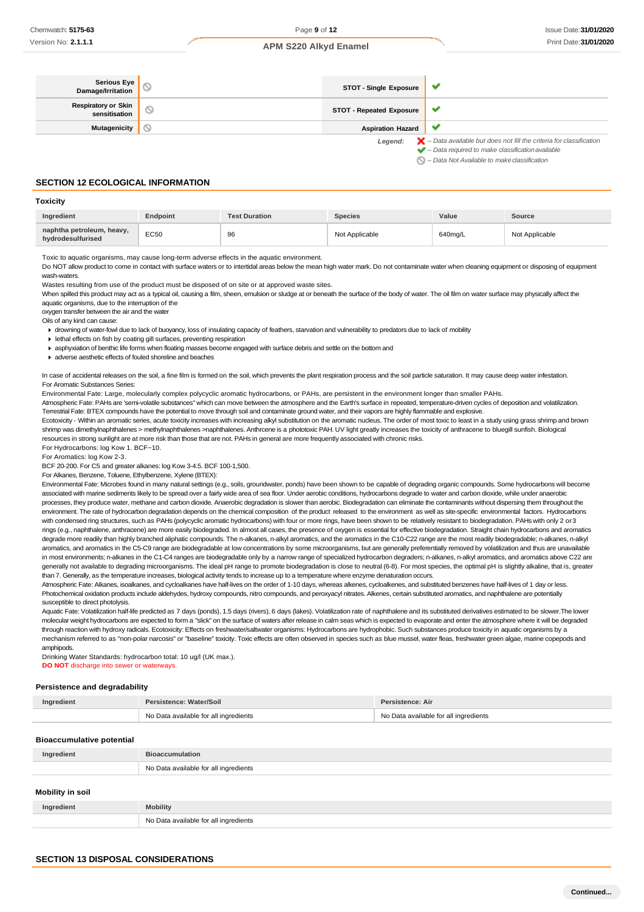**Toxicity**

### **APM S220 Alkyd Enamel**

| Serious Eye<br>  Damage/Irritation          | <b>STOT - Single Exposure</b>   | ູ                                                                                        |
|---------------------------------------------|---------------------------------|------------------------------------------------------------------------------------------|
| <b>Respiratory or Skin</b><br>sensitisation | <b>STOT - Repeated Exposure</b> |                                                                                          |
| <b>Mutagenicity</b>                         | <b>Aspiration Hazard</b>        |                                                                                          |
|                                             | Legend:                         | $\blacktriangleright$ - Data available but does not fill the criteria for classification |
|                                             |                                 | $\blacktriangleright$ - Data required to make classification available                   |
|                                             |                                 | $\bigcirc$ - Data Not Available to make classification                                   |

**SECTION 12 ECOLOGICAL INFORMATION**

| <b>TOXIGILY</b>                                |                 |                      |                |         |                |
|------------------------------------------------|-----------------|----------------------|----------------|---------|----------------|
| Ingredient                                     | <b>Endpoint</b> | <b>Test Duration</b> | <b>Species</b> | Value   | Source         |
| naphtha petroleum, heavy,<br>hydrodesulfurised | EC50            | 96                   | Not Applicable | 640ma/L | Not Applicable |

Toxic to aquatic organisms, may cause long-term adverse effects in the aquatic environment.

Do NOT allow product to come in contact with surface waters or to intertidal areas below the mean high water mark. Do not contaminate water when cleaning equipment or disposing of equipment wash-waters.

Wastes resulting from use of the product must be disposed of on site or at approved waste sites.

When spilled this product may act as a typical oil, causing a film, sheen, emulsion or sludge at or beneath the surface of the body of water. The oil film on water surface may physically affect the aquatic organisms, due to the interruption of the

oxygen transfer between the air and the water

Oils of any kind can cause:

drowning of water-fowl due to lack of buoyancy, loss of insulating capacity of feathers, starvation and vulnerability to predators due to lack of mobility

lethal effects on fish by coating gill surfaces, preventing respiration

- asphyxiation of benthic life forms when floating masses become engaged with surface debris and settle on the bottom and
- adverse aesthetic effects of fouled shoreline and beaches

In case of accidental releases on the soil, a fine film is formed on the soil, which prevents the plant respiration process and the soil particle saturation. It may cause deep water infestation. For Aromatic Substances Series:

Environmental Fate: Large, molecularly complex polycyclic aromatic hydrocarbons, or PAHs, are persistent in the environment longer than smaller PAHs.

Atmospheric Fate: PAHs are 'semi-volatile substances" which can move between the atmosphere and the Earth's surface in repeated, temperature-driven cycles of deposition and volatilization. Terrestrial Fate: BTEX compounds have the potential to move through soil and contaminate ground water, and their vapors are highly flammable and explosive.

Ecotoxicity - Within an aromatic series, acute toxicity increases with increasing alkyl substitution on the aromatic nucleus. The order of most toxic to least in a study using grass shrimp and brown shrimp was dimethylnaphthalenes > methylnaphthalenes >naphthalenes. Anthrcene is a phototoxic PAH. UV light greatly increases the toxicity of anthracene to bluegill sunfish. Biological resources in strong sunlight are at more risk than those that are not. PAHs in general are more frequently associated with chronic risks.

For Hydrocarbons: log Kow 1. BCF~10.

For Aromatics: log Kow 2-3.

BCF 20-200. For C5 and greater alkanes: log Kow 3-4.5. BCF 100-1,500.

For Alkanes, Benzene, Toluene, Ethylbenzene, Xylene (BTEX):

Environmental Fate: Microbes found in many natural settings (e.g., soils, groundwater, ponds) have been shown to be capable of degrading organic compounds. Some hydrocarbons will become associated with marine sediments likely to be spread over a fairly wide area of sea floor. Under aerobic conditions, hydrocarbons degrade to water and carbon dioxide, while under anaerobic processes, they produce water, methane and carbon dioxide. Anaerobic degradation is slower than aerobic. Biodegradation can eliminate the contaminants without dispersing them throughout the environment. The rate of hydrocarbon degradation depends on the chemical composition of the product released to the environment as well as site-specific environmental factors. Hydrocarbons with condensed ring structures, such as PAHs (polycyclic aromatic hydrocarbons) with four or more rings, have been shown to be relatively resistant to biodegradation. PAHs with only 2 or 3 rings (e.g., naphthalene, anthracene) are more easily biodegraded. In almost all cases, the presence of oxygen is essential for effective biodegradation. Straight chain hydrocarbons and aromatics degrade more readily than highly branched aliphatic compounds. The n-alkanes, n-alkyl aromatics, and the aromatics in the C10-C22 range are the most readily biodegradable; n-alkanes, n-alkyl aromatics, and aromatics in the C5-C9 range are biodegradable at low concentrations by some microorganisms, but are generally preferentially removed by volatilization and thus are unavailable in most environments; n-alkanes in the C1-C4 ranges are biodegradable only by a narrow range of specialized hydrocarbon degraders; n-alkanes, n-alkyl aromatics, and aromatics above C22 are generally not available to degrading microorganisms. The ideal pH range to promote biodegradation is close to neutral (6-8). For most species, the optimal pH is slightly alkaline, that is, greater than 7. Generally, as the temperature increases, biological activity tends to increase up to a temperature where enzyme denaturation occurs.

Atmospheric Fate: Alkanes, isoalkanes, and cycloalkanes have half-lives on the order of 1-10 days, whereas alkenes, cycloalkenes, and substituted benzenes have half-lives of 1 day or less. Photochemical oxidation products include aldehydes, hydroxy compounds, nitro compounds, and peroxyacyl nitrates, Alkenes, certain substituted aromatics, and naphthalene are potentially susceptible to direct photolysis.

Aquatic Fate: Volatilization half-life predicted as 7 days (ponds), 1.5 days (rivers), 6 days (lakes). Volatilization rate of naphthalene and its substituted derivatives estimated to be slower. The lower molecular weight hydrocarbons are expected to form a "slick" on the surface of waters after release in calm seas which is expected to evaporate and enter the atmosphere where it will be degraded through reaction with hydroxy radicals. Ecotoxicity: Effects on freshwater/saltwater organisms: Hydrocarbons are hydrophobic. Such substances produce toxicity in aquatic organisms by a mechanism referred to as "non-polar narcosis" or "baseline" toxicity. Toxic effects are often observed in species such as blue mussel, water fleas, freshwater green algae, marine copepods and amphipods.

Drinking Water Standards: hydrocarbon total: 10 ug/l (UK max.). **DO NOT** discharge into sewer or waterways.

#### **Persistence and degradability**

| Ingredient | Persistence: Water/Soil               | Persistence: Air                      |  |
|------------|---------------------------------------|---------------------------------------|--|
|            | No Data available for all ingredients | No Data available for all ingredients |  |

### **Bioaccumulative potential**

| <b>Progocalitative potential</b> |                                       |
|----------------------------------|---------------------------------------|
| Ingredient                       | <b>Bioaccumulation</b>                |
|                                  | No Data available for all ingredients |
| Mobility in soil                 |                                       |
|                                  |                                       |

| Ingredient | <b>Mobility</b>                       |
|------------|---------------------------------------|
|            | No Data available for all ingredients |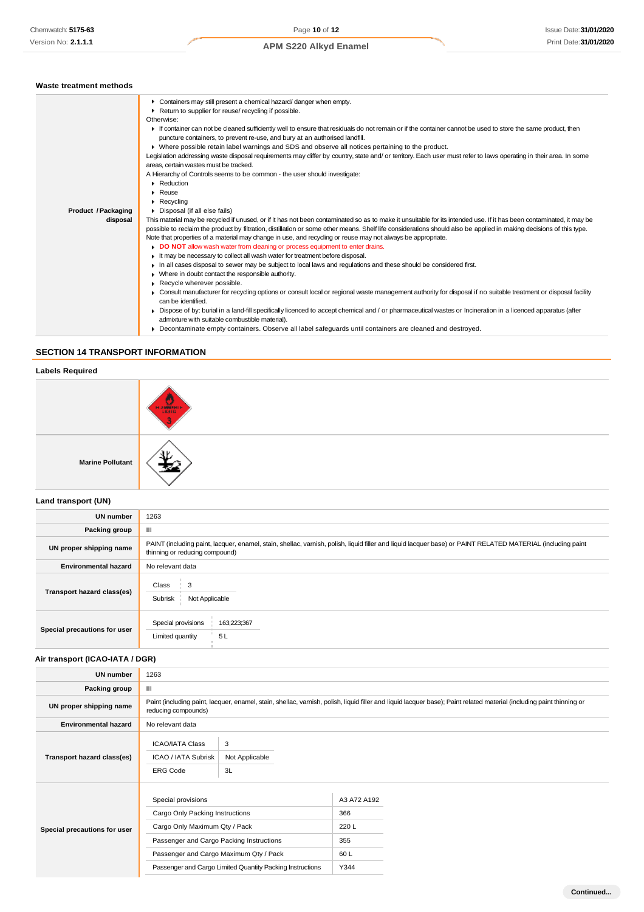| Waste treatment methods |                                                                                                                                                                                       |
|-------------------------|---------------------------------------------------------------------------------------------------------------------------------------------------------------------------------------|
|                         | Containers may still present a chemical hazard/danger when empty.                                                                                                                     |
|                         | ▶ Return to supplier for reuse/ recycling if possible.                                                                                                                                |
|                         | Otherwise:                                                                                                                                                                            |
|                         | If container can not be cleaned sufficiently well to ensure that residuals do not remain or if the container cannot be used to store the same product, then                           |
|                         | puncture containers, to prevent re-use, and bury at an authorised landfill.                                                                                                           |
|                         | ▶ Where possible retain label warnings and SDS and observe all notices pertaining to the product.                                                                                     |
|                         | Legislation addressing waste disposal requirements may differ by country, state and/ or territory. Each user must refer to laws operating in their area. In some                      |
|                         | areas, certain wastes must be tracked.                                                                                                                                                |
|                         | A Hierarchy of Controls seems to be common - the user should investigate:                                                                                                             |
|                         | $\blacktriangleright$ Reduction                                                                                                                                                       |
|                         | $\triangleright$ Reuse                                                                                                                                                                |
|                         | $\blacktriangleright$ Recycling                                                                                                                                                       |
| Product / Packaging     | Disposal (if all else fails)                                                                                                                                                          |
| disposal                | This material may be recycled if unused, or if it has not been contaminated so as to make it unsuitable for its intended use. If it has been contaminated, it may be                  |
|                         | possible to reclaim the product by filtration, distillation or some other means. Shelf life considerations should also be applied in making decisions of this type.                   |
|                         | Note that properties of a material may change in use, and recycling or reuse may not always be appropriate.                                                                           |
|                         | DO NOT allow wash water from cleaning or process equipment to enter drains.                                                                                                           |
|                         | If the may be necessary to collect all wash water for treatment before disposal.                                                                                                      |
|                         | In all cases disposal to sewer may be subject to local laws and regulations and these should be considered first.                                                                     |
|                         | • Where in doubt contact the responsible authority.                                                                                                                                   |
|                         | Recycle wherever possible.                                                                                                                                                            |
|                         | • Consult manufacturer for recycling options or consult local or regional waste management authority for disposal if no suitable treatment or disposal facility<br>can be identified. |
|                         | Dispose of by: burial in a land-fill specifically licenced to accept chemical and / or pharmaceutical wastes or Incineration in a licenced apparatus (after                           |
|                         |                                                                                                                                                                                       |
|                         | admixture with suitable combustible material).                                                                                                                                        |

Decontaminate empty containers. Observe all label safeguards until containers are cleaned and destroyed.

# **SECTION 14 TRANSPORT INFORMATION**

H

# **Labels Required**

|                         | <b>HANGINIE</b> |
|-------------------------|-----------------|
| <b>Marine Pollutant</b> | л.              |

# **Land transport (UN)**

| <b>UN number</b>             | 1263                                                                                                                                                                                          |  |  |
|------------------------------|-----------------------------------------------------------------------------------------------------------------------------------------------------------------------------------------------|--|--|
| Packing group                | Ш                                                                                                                                                                                             |  |  |
| UN proper shipping name      | PAINT (including paint, lacquer, enamel, stain, shellac, varnish, polish, liquid filler and liquid lacquer base) or PAINT RELATED MATERIAL (including paint<br>thinning or reducing compound) |  |  |
| <b>Environmental hazard</b>  | No relevant data                                                                                                                                                                              |  |  |
| Transport hazard class(es)   | Class<br>3<br>Subrisk<br>Not Applicable                                                                                                                                                       |  |  |
| Special precautions for user | Special provisions<br>163;223;367<br>5L<br>Limited quantity                                                                                                                                   |  |  |

# **Air transport (ICAO-IATA / DGR)**

| <b>UN number</b>             | 1263                                                                                                                                                                                         |                     |             |  |
|------------------------------|----------------------------------------------------------------------------------------------------------------------------------------------------------------------------------------------|---------------------|-------------|--|
| Packing group                | Ш                                                                                                                                                                                            |                     |             |  |
| UN proper shipping name      | Paint (including paint, lacquer, enamel, stain, shellac, varnish, polish, liquid filler and liquid lacquer base); Paint related material (including paint thinning or<br>reducing compounds) |                     |             |  |
| <b>Environmental hazard</b>  | No relevant data                                                                                                                                                                             |                     |             |  |
| Transport hazard class(es)   | <b>ICAO/IATA Class</b><br><b>ICAO / IATA Subrisk</b>                                                                                                                                         | 3<br>Not Applicable |             |  |
|                              | <b>ERG Code</b>                                                                                                                                                                              | 3L                  |             |  |
|                              | Special provisions                                                                                                                                                                           |                     | A3 A72 A192 |  |
| Special precautions for user | Cargo Only Packing Instructions                                                                                                                                                              |                     | 366         |  |
|                              | Cargo Only Maximum Qty / Pack                                                                                                                                                                |                     | 220L        |  |
|                              | Passenger and Cargo Packing Instructions                                                                                                                                                     |                     | 355         |  |
|                              | Passenger and Cargo Maximum Qty / Pack                                                                                                                                                       |                     | 60L         |  |
|                              | Passenger and Cargo Limited Quantity Packing Instructions                                                                                                                                    |                     | Y344        |  |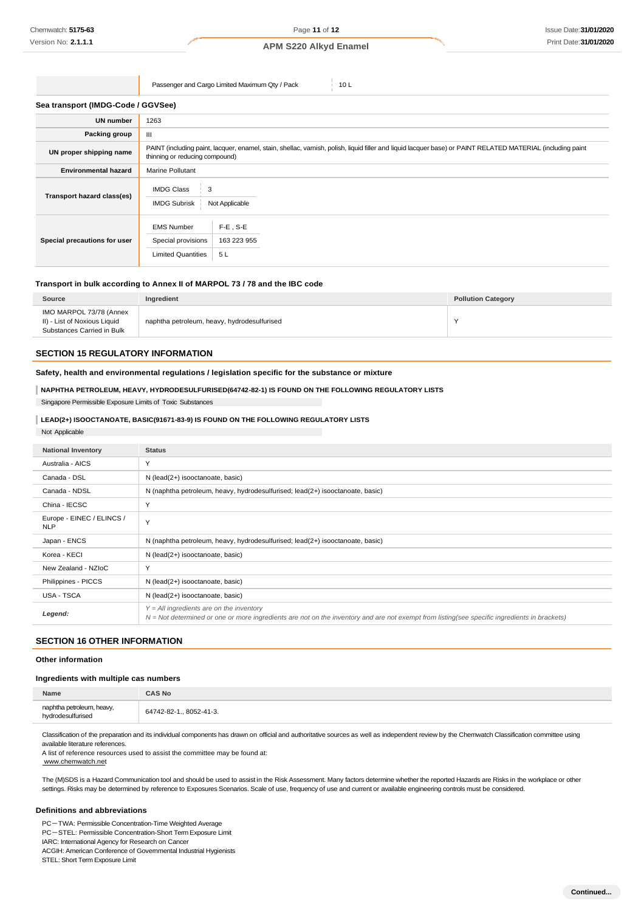Passenger and Cargo Limited Maximum Qty / Pack 10 L

#### **Sea transport (IMDG-Code / GGVSee)**

| <b>UN number</b>             | 1263                                                                                                                                                                                          |                                  |  |
|------------------------------|-----------------------------------------------------------------------------------------------------------------------------------------------------------------------------------------------|----------------------------------|--|
| Packing group                | Ш                                                                                                                                                                                             |                                  |  |
| UN proper shipping name      | PAINT (including paint, lacquer, enamel, stain, shellac, varnish, polish, liquid filler and liquid lacquer base) or PAINT RELATED MATERIAL (including paint<br>thinning or reducing compound) |                                  |  |
| <b>Environmental hazard</b>  | Marine Pollutant                                                                                                                                                                              |                                  |  |
| Transport hazard class(es)   | <b>IMDG Class</b><br>3<br><b>IMDG Subrisk</b>                                                                                                                                                 | Not Applicable                   |  |
| Special precautions for user | <b>EMS Number</b><br>Special provisions<br><b>Limited Quantities</b>                                                                                                                          | $F-E$ , S-E<br>163 223 955<br>5L |  |

# **Transport in bulk according to Annex II of MARPOL 73 / 78 and the IBC code**

| Source                                                                                | Ingredient                                  | <b>Pollution Category</b> |
|---------------------------------------------------------------------------------------|---------------------------------------------|---------------------------|
| IMO MARPOL 73/78 (Annex<br>II) - List of Noxious Liquid<br>Substances Carried in Bulk | naphtha petroleum, heavy, hydrodesulfurised |                           |

# **SECTION 15 REGULATORY INFORMATION**

# **Safety, health and environmental regulations / legislation specific for the substance or mixture**

### **NAPHTHA PETROLEUM, HEAVY, HYDRODESULFURISED(64742-82-1) IS FOUND ON THE FOLLOWING REGULATORY LISTS**

Singapore Permissible Exposure Limits of Toxic Substances

# **LEAD(2+) ISOOCTANOATE, BASIC(91671-83-9) IS FOUND ON THE FOLLOWING REGULATORY LISTS**

| Not Applicable                          |                                                                                                                                                                                            |
|-----------------------------------------|--------------------------------------------------------------------------------------------------------------------------------------------------------------------------------------------|
| <b>National Inventory</b>               | <b>Status</b>                                                                                                                                                                              |
| Australia - AICS                        | Y                                                                                                                                                                                          |
| Canada - DSL                            | N (lead(2+) isooctanoate, basic)                                                                                                                                                           |
| Canada - NDSL                           | N (naphtha petroleum, heavy, hydrodesulfurised; lead(2+) isooctanoate, basic)                                                                                                              |
| China - IECSC                           | Y                                                                                                                                                                                          |
| Europe - EINEC / ELINCS /<br><b>NLP</b> | Y                                                                                                                                                                                          |
| Japan - ENCS                            | N (naphtha petroleum, heavy, hydrodesulfurised; lead(2+) isooctanoate, basic)                                                                                                              |
| Korea - KECI                            | N (lead(2+) isooctanoate, basic)                                                                                                                                                           |
| New Zealand - NZIoC                     | Y                                                                                                                                                                                          |
| Philippines - PICCS                     | N (lead(2+) isooctanoate, basic)                                                                                                                                                           |
| <b>USA - TSCA</b>                       | N (lead(2+) isooctanoate, basic)                                                                                                                                                           |
| Legend:                                 | $Y = All$ ingredients are on the inventory<br>N = Not determined or one or more ingredients are not on the inventory and are not exempt from listing(see specific ingredients in brackets) |

# **SECTION 16 OTHER INFORMATION**

# **Other information**

### **Ingredients with multiple cas numbers**

| Name                                           | <b>CAS No</b>           |
|------------------------------------------------|-------------------------|
| naphtha petroleum, heavy,<br>hydrodesulfurised | 64742-82-1., 8052-41-3. |

Classification of the preparation and its individual components has drawn on official and authoritative sources as well as independent review by the Chemwatch Classification committee using available literature references.

A list of reference resources used to assist the committee may be found at: [www.chemwatch.net](http://www.chemwatch.net/)

The (M)SDS is a Hazard Communication tool and should be used to assist in the Risk Assessment. Many factors determine whether the reported Hazards are Risks in the workplace or other settings. Risks may be determined by reference to Exposures Scenarios. Scale of use, frequency of use and current or available engineering controls must be considered.

#### **Definitions and abbreviations**

PC-TWA: Permissible Concentration-Time Weighted Average PC-STEL: Permissible Concentration-Short Term Exposure Limit IARC: International Agency for Research on Cancer ACGIH: American Conference of Governmental Industrial Hygienists STEL: Short Term Exposure Limit